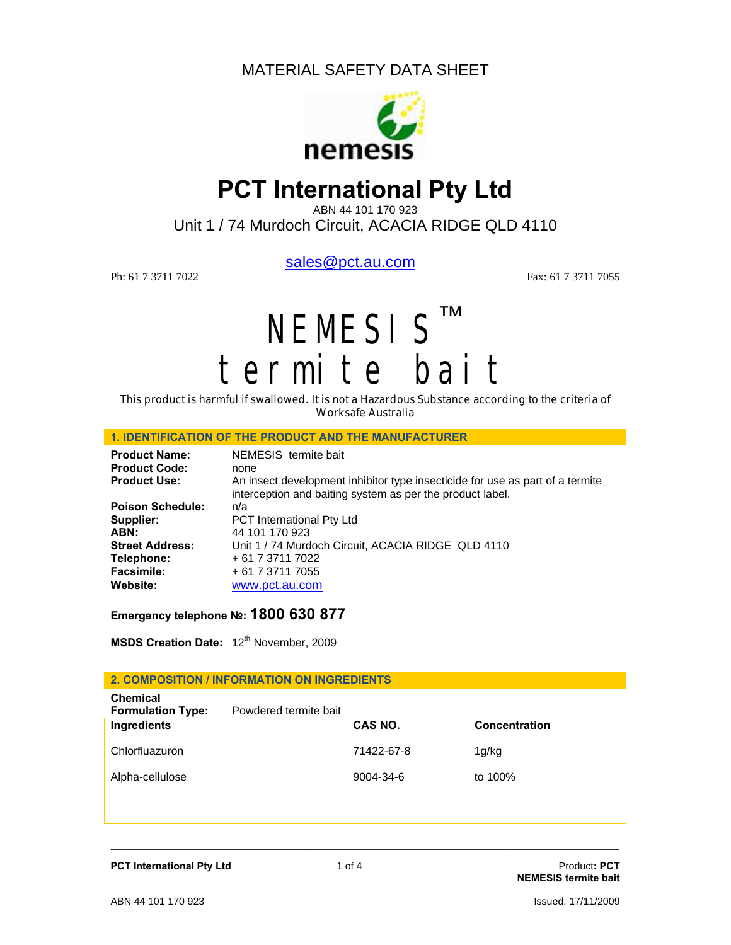

# **PCT International Pty Ltd**

ABN 44 101 170 923

Unit 1 / 74 Murdoch Circuit, ACACIA RIDGE QLD 4110

sales@pct.au.com

Ph: 61 7 3711 7022 Fax: 61 7 3711 7025

# NEMESIS™ termite bait

This product is harmful if swallowed. It is not a Hazardous Substance according to the criteria of Worksafe Australia

#### **1. IDENTIFICATION OF THE PRODUCT AND THE MANUFACTURER**

| <b>Product Name:</b>    | NEMESIS termite bait                                                                                                                       |
|-------------------------|--------------------------------------------------------------------------------------------------------------------------------------------|
| <b>Product Code:</b>    | none                                                                                                                                       |
| <b>Product Use:</b>     | An insect development inhibitor type insecticide for use as part of a termite<br>interception and baiting system as per the product label. |
| <b>Poison Schedule:</b> | n/a                                                                                                                                        |
| Supplier:               | <b>PCT</b> International Pty Ltd                                                                                                           |
| ABN:                    | 44 101 170 923                                                                                                                             |
| <b>Street Address:</b>  | Unit 1 / 74 Murdoch Circuit, ACACIA RIDGE QLD 4110                                                                                         |
| Telephone:              | + 61 7 3711 7022                                                                                                                           |
| <b>Facsimile:</b>       | + 61 7 3711 7055                                                                                                                           |
| Website:                | www.pct.au.com                                                                                                                             |

**Emergency telephone №: 1800 630 877**

**MSDS Creation Date:** 12<sup>th</sup> November, 2009

#### **2. COMPOSITION / INFORMATION ON INGREDIENTS**

| CAS NO.         | <b>Concentration</b>  |
|-----------------|-----------------------|
| 71422-67-8      | 1g/kg                 |
| $9004 - 34 - 6$ | to 100%               |
|                 | Powdered termite bait |

\_\_\_\_\_\_\_\_\_\_\_\_\_\_\_\_\_\_\_\_\_\_\_\_\_\_\_\_\_\_\_\_\_\_\_\_\_\_\_\_\_\_\_\_\_\_\_\_\_\_\_\_\_\_\_\_\_\_\_\_\_\_\_\_\_\_\_\_\_\_\_\_\_\_\_\_\_\_\_\_\_\_\_\_\_\_\_\_\_\_\_\_\_\_\_\_\_\_\_\_\_\_

**PCT International Pty Ltd 1 of 4 Product: PCT Product: PCT** 

**NEMESIS termite bait**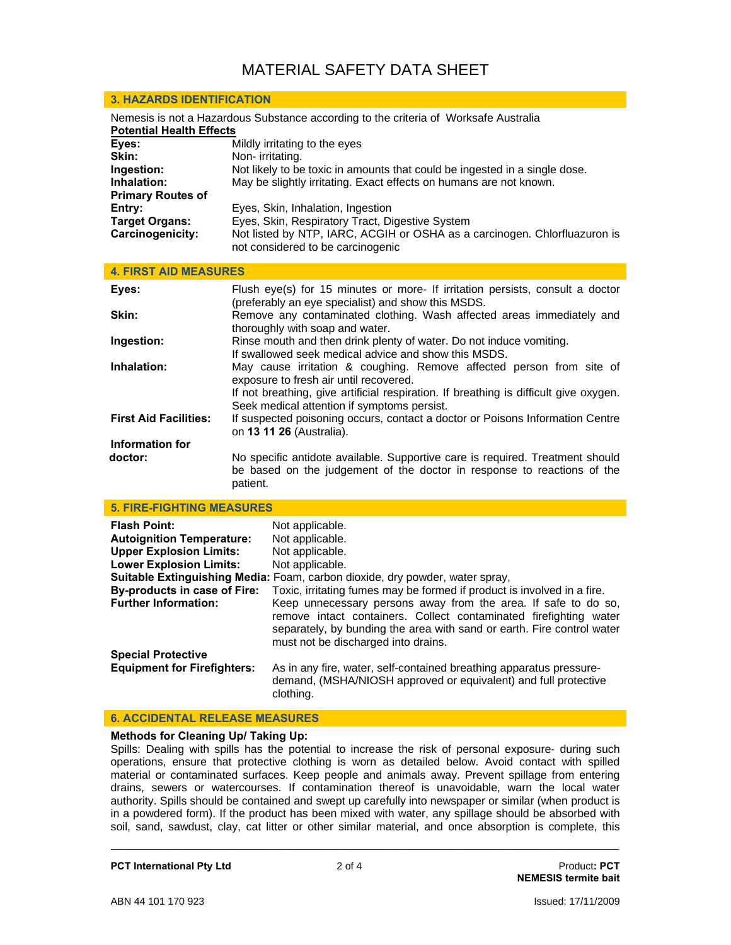| <b>3. HAZARDS IDENTIFICATION</b>                                                                                        |                                                                                                                                                                                                        |  |  |
|-------------------------------------------------------------------------------------------------------------------------|--------------------------------------------------------------------------------------------------------------------------------------------------------------------------------------------------------|--|--|
| Nemesis is not a Hazardous Substance according to the criteria of Worksafe Australia<br><b>Potential Health Effects</b> |                                                                                                                                                                                                        |  |  |
| Eyes:<br>Skin:                                                                                                          | Mildly irritating to the eyes<br>Non-irritating.                                                                                                                                                       |  |  |
| Ingestion:<br>Inhalation:<br><b>Primary Routes of</b>                                                                   | Not likely to be toxic in amounts that could be ingested in a single dose.<br>May be slightly irritating. Exact effects on humans are not known.                                                       |  |  |
| Entry:<br><b>Target Organs:</b><br>Carcinogenicity:                                                                     | Eyes, Skin, Inhalation, Ingestion<br>Eyes, Skin, Respiratory Tract, Digestive System<br>Not listed by NTP, IARC, ACGIH or OSHA as a carcinogen. Chlorfluazuron is<br>not considered to be carcinogenic |  |  |
| <b>4. FIRST AID MEASURES</b>                                                                                            |                                                                                                                                                                                                        |  |  |
| Eyes:                                                                                                                   | Flush eye(s) for 15 minutes or more- If irritation persists, consult a doctor<br>(preferably an eye specialist) and show this MSDS.                                                                    |  |  |
| Skin:                                                                                                                   | Remove any contaminated clothing. Wash affected areas immediately and<br>thoroughly with soap and water.                                                                                               |  |  |
| Ingestion:                                                                                                              | Rinse mouth and then drink plenty of water. Do not induce vomiting.<br>If swallowed seek medical advice and show this MSDS.                                                                            |  |  |
| Inhalation:                                                                                                             | May cause irritation & coughing. Remove affected person from site of<br>exposure to fresh air until recovered.                                                                                         |  |  |

If not breathing, give artificial respiration. If breathing is difficult give oxygen. Seek medical attention if symptoms persist.

- **First Aid Facilities:** If suspected poisoning occurs, contact a doctor or Poisons Information Centre on **13 11 26** (Australia). **Information for**
- **doctor:** No specific antidote available. Supportive care is required. Treatment should be based on the judgement of the doctor in response to reactions of the patient.

#### **5. FIRE-FIGHTING MEASURES**

| <b>Flash Point:</b><br><b>Autoignition Temperature:</b><br><b>Upper Explosion Limits:</b><br><b>Lower Explosion Limits:</b> | Not applicable.<br>Not applicable.<br>Not applicable.<br>Not applicable.                                                                                                                                                                             |
|-----------------------------------------------------------------------------------------------------------------------------|------------------------------------------------------------------------------------------------------------------------------------------------------------------------------------------------------------------------------------------------------|
|                                                                                                                             | Suitable Extinguishing Media: Foam, carbon dioxide, dry powder, water spray,                                                                                                                                                                         |
| By-products in case of Fire:                                                                                                | Toxic, irritating fumes may be formed if product is involved in a fire.                                                                                                                                                                              |
| <b>Further Information:</b>                                                                                                 | Keep unnecessary persons away from the area. If safe to do so,<br>remove intact containers. Collect contaminated firefighting water<br>separately, by bunding the area with sand or earth. Fire control water<br>must not be discharged into drains. |
| <b>Special Protective</b>                                                                                                   |                                                                                                                                                                                                                                                      |
| <b>Equipment for Firefighters:</b>                                                                                          | As in any fire, water, self-contained breathing apparatus pressure-<br>demand, (MSHA/NIOSH approved or equivalent) and full protective<br>clothing.                                                                                                  |

#### **6. ACCIDENTAL RELEASE MEASURES**

#### **Methods for Cleaning Up/ Taking Up:**

Spills: Dealing with spills has the potential to increase the risk of personal exposure- during such operations, ensure that protective clothing is worn as detailed below. Avoid contact with spilled material or contaminated surfaces. Keep people and animals away. Prevent spillage from entering drains, sewers or watercourses. If contamination thereof is unavoidable, warn the local water authority. Spills should be contained and swept up carefully into newspaper or similar (when product is in a powdered form). If the product has been mixed with water, any spillage should be absorbed with soil, sand, sawdust, clay, cat litter or other similar material, and once absorption is complete, this

\_\_\_\_\_\_\_\_\_\_\_\_\_\_\_\_\_\_\_\_\_\_\_\_\_\_\_\_\_\_\_\_\_\_\_\_\_\_\_\_\_\_\_\_\_\_\_\_\_\_\_\_\_\_\_\_\_\_\_\_\_\_\_\_\_\_\_\_\_\_\_\_\_\_\_\_\_\_\_\_\_\_\_\_\_\_\_\_\_\_\_\_\_\_\_\_\_\_\_\_\_\_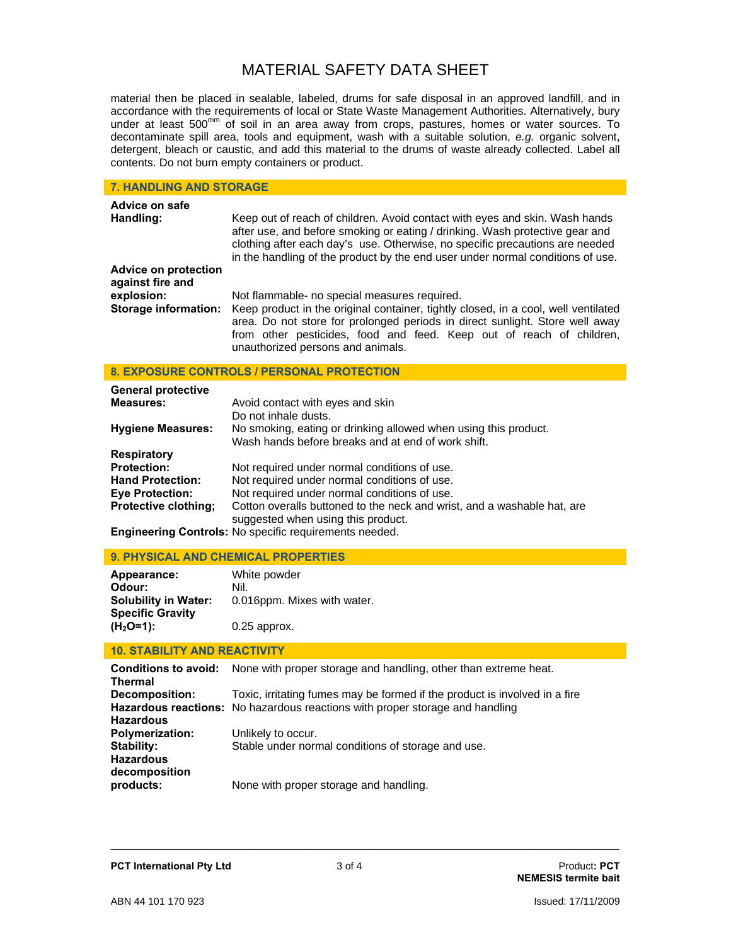material then be placed in sealable, labeled, drums for safe disposal in an approved landfill, and in accordance with the requirements of local or State Waste Management Authorities. Alternatively, bury under at least 500<sup>mm</sup> of soil in an area away from crops, pastures, homes or water sources. To decontaminate spill area, tools and equipment, wash with a suitable solution, *e.g.* organic solvent, detergent, bleach or caustic, and add this material to the drums of waste already collected. Label all contents. Do not burn empty containers or product.

#### **7. HANDLING AND STORAGE**

| Advice on safe<br>Handling:                     | Keep out of reach of children. Avoid contact with eyes and skin. Wash hands<br>after use, and before smoking or eating / drinking. Wash protective gear and<br>clothing after each day's use. Otherwise, no specific precautions are needed<br>in the handling of the product by the end user under normal conditions of use. |  |  |  |
|-------------------------------------------------|-------------------------------------------------------------------------------------------------------------------------------------------------------------------------------------------------------------------------------------------------------------------------------------------------------------------------------|--|--|--|
| <b>Advice on protection</b><br>against fire and |                                                                                                                                                                                                                                                                                                                               |  |  |  |
| explosion:                                      | Not flammable- no special measures required.                                                                                                                                                                                                                                                                                  |  |  |  |
| Storage information:                            | Keep product in the original container, tightly closed, in a cool, well ventilated<br>area. Do not store for prolonged periods in direct sunlight. Store well away<br>from other pesticides, food and feed. Keep out of reach of children,<br>unauthorized persons and animals.                                               |  |  |  |

#### **8. EXPOSURE CONTROLS / PERSONAL PROTECTION**

| <b>General protective</b>   |                                                                         |
|-----------------------------|-------------------------------------------------------------------------|
| <b>Measures:</b>            | Avoid contact with eyes and skin                                        |
|                             | Do not inhale dusts.                                                    |
| <b>Hygiene Measures:</b>    | No smoking, eating or drinking allowed when using this product.         |
|                             | Wash hands before breaks and at end of work shift.                      |
| <b>Respiratory</b>          |                                                                         |
| <b>Protection:</b>          | Not required under normal conditions of use.                            |
| <b>Hand Protection:</b>     | Not required under normal conditions of use.                            |
| <b>Eve Protection:</b>      | Not required under normal conditions of use.                            |
| <b>Protective clothing;</b> | Cotton overalls buttoned to the neck and wrist, and a washable hat, are |
|                             | suggested when using this product.                                      |
|                             | Engineering Controls: No specific requirements needed.                  |

#### **9. PHYSICAL AND CHEMICAL PROPERTIES**

| Appearance:                 | White powder                |
|-----------------------------|-----------------------------|
| Odour:                      | Nil.                        |
| <b>Solubility in Water:</b> | 0.016ppm. Mixes with water. |
| <b>Specific Gravity</b>     |                             |
| $(H2O=1):$                  | $0.25$ approx.              |

#### **10. STABILITY AND REACTIVITY**

| <b>Conditions to avoid:</b><br><b>Thermal</b> | None with proper storage and handling, other than extreme heat.              |
|-----------------------------------------------|------------------------------------------------------------------------------|
| Decomposition:                                | Toxic, irritating fumes may be formed if the product is involved in a fire   |
|                                               | Hazardous reactions: No hazardous reactions with proper storage and handling |
| <b>Hazardous</b><br><b>Polymerization:</b>    | Unlikely to occur.                                                           |
| Stability:                                    | Stable under normal conditions of storage and use.                           |
| <b>Hazardous</b>                              |                                                                              |
| decomposition<br>products:                    | None with proper storage and handling.                                       |

\_\_\_\_\_\_\_\_\_\_\_\_\_\_\_\_\_\_\_\_\_\_\_\_\_\_\_\_\_\_\_\_\_\_\_\_\_\_\_\_\_\_\_\_\_\_\_\_\_\_\_\_\_\_\_\_\_\_\_\_\_\_\_\_\_\_\_\_\_\_\_\_\_\_\_\_\_\_\_\_\_\_\_\_\_\_\_\_\_\_\_\_\_\_\_\_\_\_\_\_\_\_